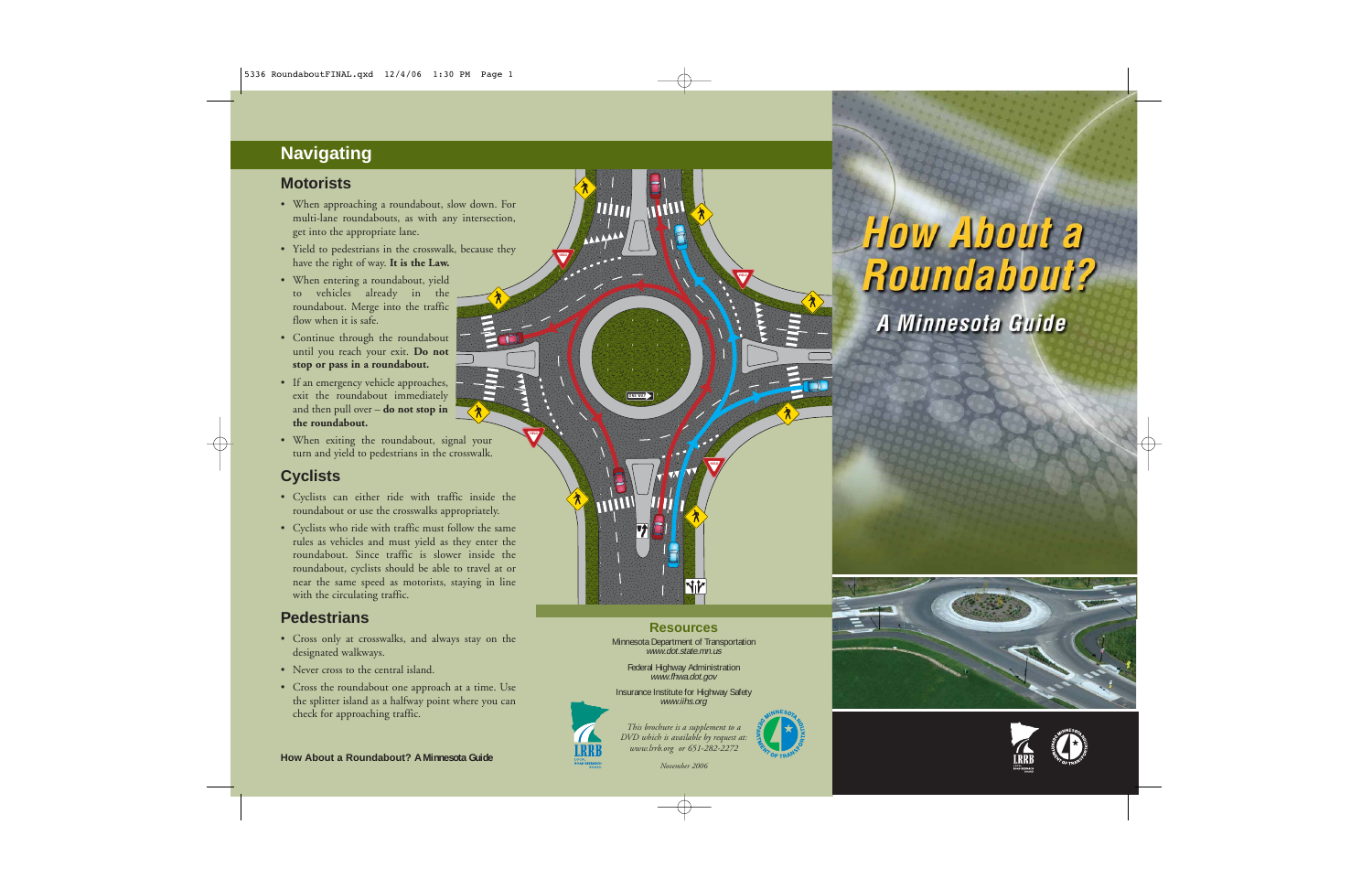# **Navigating**

#### **Motorists**

- When approaching a roundabout, slow down. For multi-lane roundabouts, as with any intersection, get into the appropriate lane.
- Yield to pedestrians in the crosswalk, because they have the right of way. **It is the Law.**
- When entering a roundabout, yield to vehicles already in the roundabout. Merge into the traffic flow when it is safe.
- Continue through the roundabout until you reach your exit. **Do not stop or pass in a roundabout.**
- If an emergency vehicle approaches, exit the roundabout immediately and then pull over – **do not stop in the roundabout.**
- When exiting the roundabout, signal your turn and yield to pedestrians in the crosswalk.

## **Cyclists**

- Cyclists can either ride with traffic inside the roundabout or use the crosswalks appropriately.
- Cyclists who ride with traffic must follow the same rules as vehicles and must yield as they enter the roundabout. Since traffic is slower inside the roundabout, cyclists should be able to travel at or near the same speed as motorists, staying in line with the circulating traffic.

### **Pedestrians**

- Cross only at crosswalks, and always stay on the designated walkways.
- Never cross to the central island.
- Cross the roundabout one approach at a time. Use the splitter island as a halfway point where you can check for approaching traffic.









**Resources**Minnesota Department of Transportation www.dot.state.mn.us Federal Highway Administration www.fhwa.dot.gov Insurance Institute for Highway Safety www.iihs.org

**ONE WAY**

**TITTIN** 

**YIELD**

*November 2006*